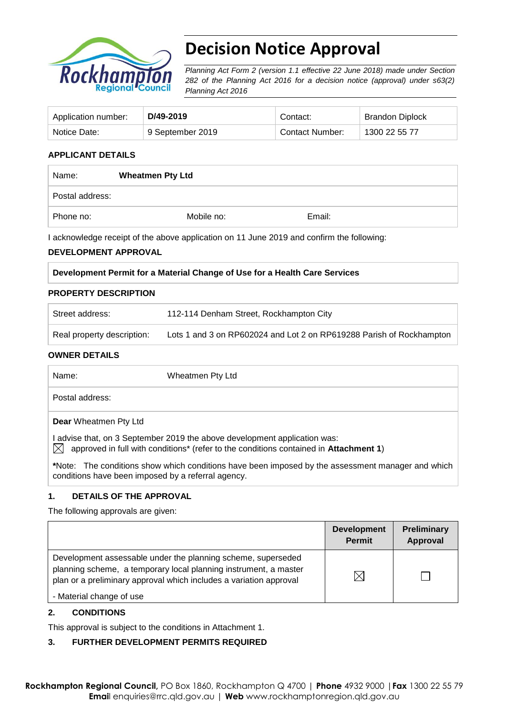

# **Decision Notice Approval**

*Planning Act Form 2 (version 1.1 effective 22 June 2018) made under Section 282 of the Planning Act 2016 for a decision notice (approval) under s63(2) Planning Act 2016*

| Application number: | D/49-2019        | Contact:        | <b>Brandon Diplock</b> |
|---------------------|------------------|-----------------|------------------------|
| Notice Date:        | 9 September 2019 | Contact Number: | 1300 22 55 77          |

# **APPLICANT DETAILS**

| Name:           | <b>Wheatmen Pty Ltd</b> |        |  |
|-----------------|-------------------------|--------|--|
| Postal address: |                         |        |  |
| Phone no:       | Mobile no:              | Email: |  |

I acknowledge receipt of the above application on 11 June 2019 and confirm the following:

### **DEVELOPMENT APPROVAL**

#### **PROPERTY DESCRIPTION**

| Street address:            | 112-114 Denham Street, Rockhampton City                              |
|----------------------------|----------------------------------------------------------------------|
| Real property description: | Lots 1 and 3 on RP602024 and Lot 2 on RP619288 Parish of Rockhampton |

#### **OWNER DETAILS**

**\***Note:The conditions show which conditions have been imposed by the assessment manager and which conditions have been imposed by a referral agency.

### **1. DETAILS OF THE APPROVAL**

The following approvals are given:

|                                                                                                                                                                                                        | <b>Development</b><br><b>Permit</b> | Preliminary<br><b>Approval</b> |
|--------------------------------------------------------------------------------------------------------------------------------------------------------------------------------------------------------|-------------------------------------|--------------------------------|
| Development assessable under the planning scheme, superseded<br>planning scheme, a temporary local planning instrument, a master<br>plan or a preliminary approval which includes a variation approval | $\boxtimes$                         |                                |
| - Material change of use                                                                                                                                                                               |                                     |                                |

## **2. CONDITIONS**

This approval is subject to the conditions in Attachment 1.

# **3. FURTHER DEVELOPMENT PERMITS REQUIRED**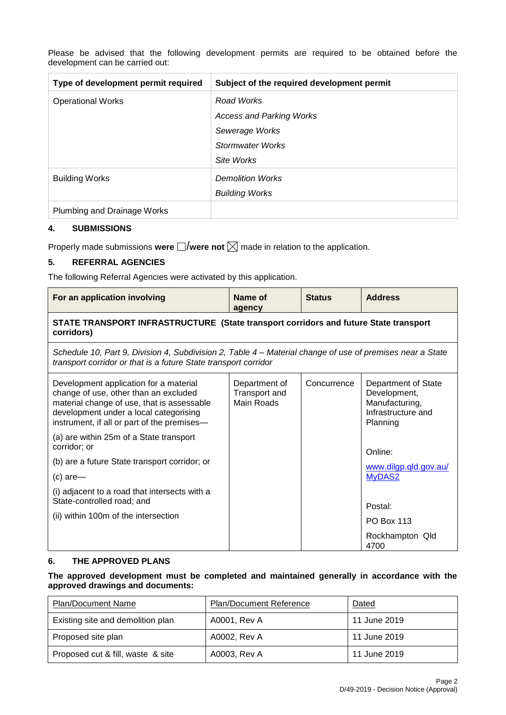| Type of development permit required | Subject of the required development permit |
|-------------------------------------|--------------------------------------------|
| <b>Operational Works</b>            | Road Works                                 |
|                                     | <b>Access and Parking Works</b>            |
|                                     | Sewerage Works                             |
|                                     | Stormwater Works                           |
|                                     | Site Works                                 |
| <b>Building Works</b>               | <b>Demolition Works</b>                    |
|                                     | <b>Building Works</b>                      |
| Plumbing and Drainage Works         |                                            |

Please be advised that the following development permits are required to be obtained before the development can be carried out:

### **4. SUBMISSIONS**

Properly made submissions were  $\Box$ /were not  $\boxtimes$  made in relation to the application.

### **5. REFERRAL AGENCIES**

The following Referral Agencies were activated by this application.

| For an application involving                                                                                                                                                                                           | Name of<br>agency                            | <b>Status</b> | <b>Address</b>                                                                          |  |
|------------------------------------------------------------------------------------------------------------------------------------------------------------------------------------------------------------------------|----------------------------------------------|---------------|-----------------------------------------------------------------------------------------|--|
| STATE TRANSPORT INFRASTRUCTURE (State transport corridors and future State transport<br>corridors)                                                                                                                     |                                              |               |                                                                                         |  |
| Schedule 10, Part 9, Division 4, Subdivision 2, Table 4 – Material change of use of premises near a State<br>transport corridor or that is a future State transport corridor                                           |                                              |               |                                                                                         |  |
| Development application for a material<br>change of use, other than an excluded<br>material change of use, that is assessable<br>development under a local categorising<br>instrument, if all or part of the premises- | Department of<br>Transport and<br>Main Roads | Concurrence   | Department of State<br>Development,<br>Manufacturing,<br>Infrastructure and<br>Planning |  |
| (a) are within 25m of a State transport<br>corridor; or                                                                                                                                                                |                                              |               | Online:                                                                                 |  |
| (b) are a future State transport corridor; or                                                                                                                                                                          |                                              |               | www.dilgp.qld.gov.au/                                                                   |  |
| $(c)$ are-                                                                                                                                                                                                             |                                              |               | MyDAS2                                                                                  |  |
| (i) adjacent to a road that intersects with a<br>State-controlled road; and                                                                                                                                            |                                              |               | Postal:                                                                                 |  |
| (ii) within 100m of the intersection                                                                                                                                                                                   |                                              |               | <b>PO Box 113</b>                                                                       |  |
|                                                                                                                                                                                                                        |                                              |               | Rockhampton Qld<br>4700                                                                 |  |

### **6. THE APPROVED PLANS**

### **The approved development must be completed and maintained generally in accordance with the approved drawings and documents:**

| <b>Plan/Document Name</b>         | <b>Plan/Document Reference</b> | Dated        |
|-----------------------------------|--------------------------------|--------------|
| Existing site and demolition plan | A0001, Rev A                   | 11 June 2019 |
| Proposed site plan                | A0002, Rev A                   | 11 June 2019 |
| Proposed cut & fill, waste & site | A0003, Rev A                   | 11 June 2019 |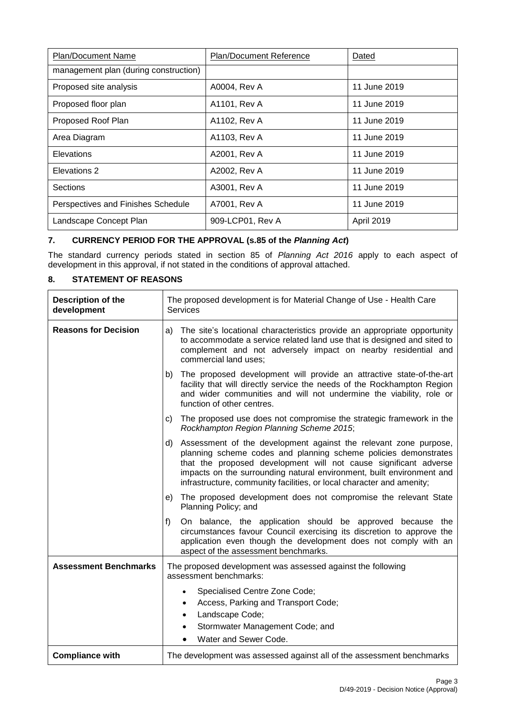| <b>Plan/Document Name</b>             | <b>Plan/Document Reference</b> | Dated        |
|---------------------------------------|--------------------------------|--------------|
| management plan (during construction) |                                |              |
| Proposed site analysis                | A0004, Rev A                   | 11 June 2019 |
| Proposed floor plan                   | A1101, Rev A                   | 11 June 2019 |
| Proposed Roof Plan                    | A1102, Rev A                   | 11 June 2019 |
| Area Diagram                          | A1103, Rev A                   | 11 June 2019 |
| <b>Elevations</b>                     | A2001, Rev A                   | 11 June 2019 |
| Elevations 2                          | A2002, Rev A                   | 11 June 2019 |
| <b>Sections</b>                       | A3001, Rev A                   | 11 June 2019 |
| Perspectives and Finishes Schedule    | A7001, Rev A                   | 11 June 2019 |
| Landscape Concept Plan                | 909-LCP01, Rev A               | April 2019   |

# **7. CURRENCY PERIOD FOR THE APPROVAL (s.85 of the** *Planning Act***)**

The standard currency periods stated in section 85 of *Planning Act 2016* apply to each aspect of development in this approval, if not stated in the conditions of approval attached.

## **8. STATEMENT OF REASONS**

| <b>Description of the</b><br>development | The proposed development is for Material Change of Use - Health Care<br><b>Services</b>                                                                                                                                                                                                                                                                         |  |
|------------------------------------------|-----------------------------------------------------------------------------------------------------------------------------------------------------------------------------------------------------------------------------------------------------------------------------------------------------------------------------------------------------------------|--|
| <b>Reasons for Decision</b>              | The site's locational characteristics provide an appropriate opportunity<br>a)<br>to accommodate a service related land use that is designed and sited to<br>complement and not adversely impact on nearby residential and<br>commercial land uses;                                                                                                             |  |
|                                          | The proposed development will provide an attractive state-of-the-art<br>b)<br>facility that will directly service the needs of the Rockhampton Region<br>and wider communities and will not undermine the viability, role or<br>function of other centres.                                                                                                      |  |
|                                          | The proposed use does not compromise the strategic framework in the<br>C)<br>Rockhampton Region Planning Scheme 2015;                                                                                                                                                                                                                                           |  |
|                                          | Assessment of the development against the relevant zone purpose,<br>d)<br>planning scheme codes and planning scheme policies demonstrates<br>that the proposed development will not cause significant adverse<br>impacts on the surrounding natural environment, built environment and<br>infrastructure, community facilities, or local character and amenity; |  |
|                                          | The proposed development does not compromise the relevant State<br>e)<br>Planning Policy; and                                                                                                                                                                                                                                                                   |  |
|                                          | f)<br>On balance, the application should be approved because the<br>circumstances favour Council exercising its discretion to approve the<br>application even though the development does not comply with an<br>aspect of the assessment benchmarks.                                                                                                            |  |
| <b>Assessment Benchmarks</b>             | The proposed development was assessed against the following<br>assessment benchmarks:                                                                                                                                                                                                                                                                           |  |
|                                          | Specialised Centre Zone Code;<br>$\bullet$<br>Access, Parking and Transport Code;<br>$\bullet$<br>Landscape Code;<br>$\bullet$<br>Stormwater Management Code; and<br>$\bullet$<br>Water and Sewer Code.                                                                                                                                                         |  |
| <b>Compliance with</b>                   | The development was assessed against all of the assessment benchmarks                                                                                                                                                                                                                                                                                           |  |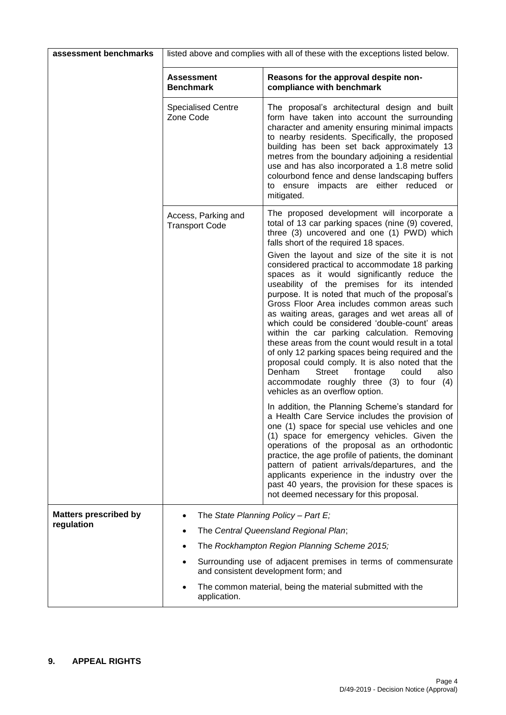| assessment benchmarks        | listed above and complies with all of these with the exceptions listed below. |                                                                                                                                                                                                                                                                                                                                                                                                                                                                                                                                                                                                                                                                                                                                                       |  |
|------------------------------|-------------------------------------------------------------------------------|-------------------------------------------------------------------------------------------------------------------------------------------------------------------------------------------------------------------------------------------------------------------------------------------------------------------------------------------------------------------------------------------------------------------------------------------------------------------------------------------------------------------------------------------------------------------------------------------------------------------------------------------------------------------------------------------------------------------------------------------------------|--|
|                              | <b>Assessment</b><br><b>Benchmark</b>                                         | Reasons for the approval despite non-<br>compliance with benchmark                                                                                                                                                                                                                                                                                                                                                                                                                                                                                                                                                                                                                                                                                    |  |
|                              | <b>Specialised Centre</b><br>Zone Code                                        | The proposal's architectural design and built<br>form have taken into account the surrounding<br>character and amenity ensuring minimal impacts<br>to nearby residents. Specifically, the proposed<br>building has been set back approximately 13<br>metres from the boundary adjoining a residential<br>use and has also incorporated a 1.8 metre solid<br>colourbond fence and dense landscaping buffers<br>to ensure impacts are either reduced or<br>mitigated.                                                                                                                                                                                                                                                                                   |  |
|                              | Access, Parking and<br><b>Transport Code</b>                                  | The proposed development will incorporate a<br>total of 13 car parking spaces (nine (9) covered,<br>three (3) uncovered and one (1) PWD) which<br>falls short of the required 18 spaces.                                                                                                                                                                                                                                                                                                                                                                                                                                                                                                                                                              |  |
|                              |                                                                               | Given the layout and size of the site it is not<br>considered practical to accommodate 18 parking<br>spaces as it would significantly reduce the<br>useability of the premises for its intended<br>purpose. It is noted that much of the proposal's<br>Gross Floor Area includes common areas such<br>as waiting areas, garages and wet areas all of<br>which could be considered 'double-count' areas<br>within the car parking calculation. Removing<br>these areas from the count would result in a total<br>of only 12 parking spaces being required and the<br>proposal could comply. It is also noted that the<br>Denham<br>also<br>Street<br>frontage<br>could<br>accommodate roughly three (3) to four (4)<br>vehicles as an overflow option. |  |
|                              |                                                                               | In addition, the Planning Scheme's standard for<br>a Health Care Service includes the provision of<br>one (1) space for special use vehicles and one<br>(1) space for emergency vehicles. Given the<br>operations of the proposal as an orthodontic<br>practice, the age profile of patients, the dominant<br>pattern of patient arrivals/departures, and the<br>applicants experience in the industry over the<br>past 40 years, the provision for these spaces is<br>not deemed necessary for this proposal.                                                                                                                                                                                                                                        |  |
| <b>Matters prescribed by</b> |                                                                               | The State Planning Policy - Part E;                                                                                                                                                                                                                                                                                                                                                                                                                                                                                                                                                                                                                                                                                                                   |  |
| regulation                   | The Central Queensland Regional Plan;                                         |                                                                                                                                                                                                                                                                                                                                                                                                                                                                                                                                                                                                                                                                                                                                                       |  |
|                              |                                                                               | The Rockhampton Region Planning Scheme 2015;                                                                                                                                                                                                                                                                                                                                                                                                                                                                                                                                                                                                                                                                                                          |  |
|                              |                                                                               | Surrounding use of adjacent premises in terms of commensurate<br>and consistent development form; and                                                                                                                                                                                                                                                                                                                                                                                                                                                                                                                                                                                                                                                 |  |
|                              | application.                                                                  | The common material, being the material submitted with the                                                                                                                                                                                                                                                                                                                                                                                                                                                                                                                                                                                                                                                                                            |  |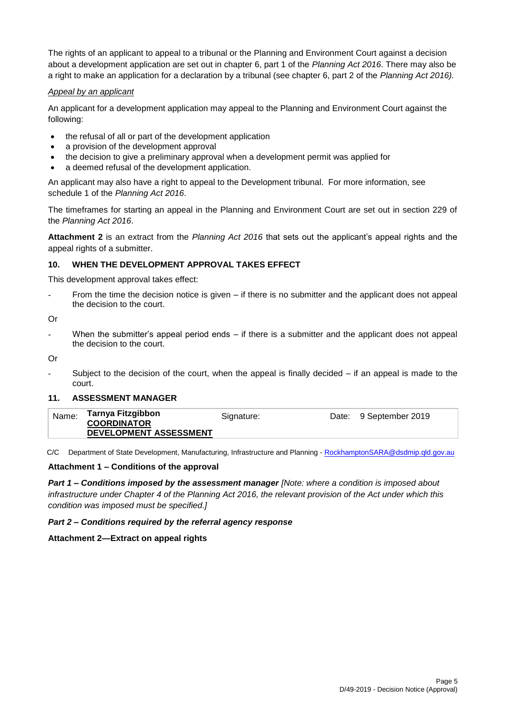The rights of an applicant to appeal to a tribunal or the Planning and Environment Court against a decision about a development application are set out in chapter 6, part 1 of the *Planning Act 2016*. There may also be a right to make an application for a declaration by a tribunal (see chapter 6, part 2 of the *Planning Act 2016).*

### *Appeal by an applicant*

An applicant for a development application may appeal to the Planning and Environment Court against the following:

- the refusal of all or part of the development application
- a provision of the development approval
- the decision to give a preliminary approval when a development permit was applied for
- a deemed refusal of the development application.

An applicant may also have a right to appeal to the Development tribunal. For more information, see schedule 1 of the *Planning Act 2016*.

The timeframes for starting an appeal in the Planning and Environment Court are set out in section 229 of the *Planning Act 2016*.

**Attachment 2** is an extract from the *Planning Act 2016* that sets out the applicant's appeal rights and the appeal rights of a submitter.

## **10. WHEN THE DEVELOPMENT APPROVAL TAKES EFFECT**

This development approval takes effect:

From the time the decision notice is given  $-$  if there is no submitter and the applicant does not appeal the decision to the court.

Or

When the submitter's appeal period ends  $-$  if there is a submitter and the applicant does not appeal the decision to the court.

Or

Subject to the decision of the court, when the appeal is finally decided  $-$  if an appeal is made to the court.

### **11. ASSESSMENT MANAGER**

| <b>COORDINATOR</b> | Tarnya Fitzgibbon<br>Name:<br>Signature:<br>Date: 9 September 2019<br>DEVELOPMENT ASSESSMENT |
|--------------------|----------------------------------------------------------------------------------------------|
|--------------------|----------------------------------------------------------------------------------------------|

C/C Department of State Development, Manufacturing, Infrastructure and Planning - [RockhamptonSARA@dsdmip.qld.gov.au](mailto:RockhamptonSARA@dsdmip.qld.gov.au)

### **Attachment 1 – Conditions of the approval**

*Part 1* **–** *Conditions imposed by the assessment manager [Note: where a condition is imposed about infrastructure under Chapter 4 of the Planning Act 2016, the relevant provision of the Act under which this condition was imposed must be specified.]*

### *Part 2 – Conditions required by the referral agency response*

### **Attachment 2—Extract on appeal rights**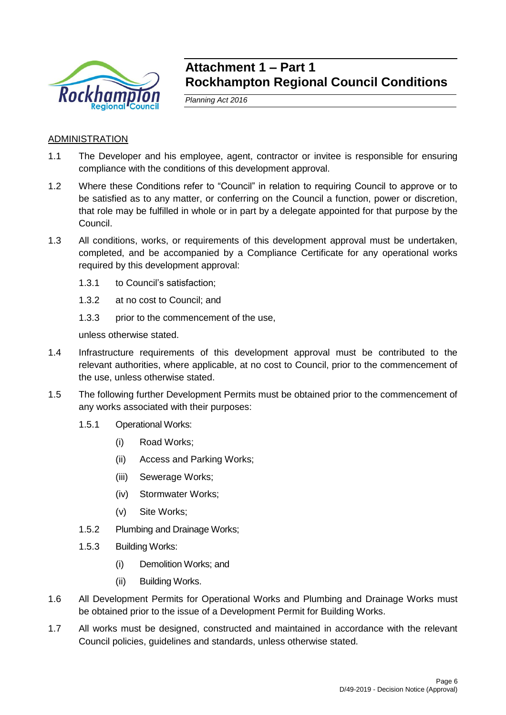

# **Attachment 1 – Part 1 Rockhampton Regional Council Conditions**

*Planning Act 2016*

# ADMINISTRATION

- 1.1 The Developer and his employee, agent, contractor or invitee is responsible for ensuring compliance with the conditions of this development approval.
- 1.2 Where these Conditions refer to "Council" in relation to requiring Council to approve or to be satisfied as to any matter, or conferring on the Council a function, power or discretion, that role may be fulfilled in whole or in part by a delegate appointed for that purpose by the Council.
- 1.3 All conditions, works, or requirements of this development approval must be undertaken, completed, and be accompanied by a Compliance Certificate for any operational works required by this development approval:
	- 1.3.1 to Council's satisfaction;
	- 1.3.2 at no cost to Council; and
	- 1.3.3 prior to the commencement of the use,

unless otherwise stated.

- 1.4 Infrastructure requirements of this development approval must be contributed to the relevant authorities, where applicable, at no cost to Council, prior to the commencement of the use, unless otherwise stated.
- 1.5 The following further Development Permits must be obtained prior to the commencement of any works associated with their purposes:
	- 1.5.1 Operational Works:
		- (i) Road Works;
		- (ii) Access and Parking Works;
		- (iii) Sewerage Works;
		- (iv) Stormwater Works;
		- (v) Site Works;
	- 1.5.2 Plumbing and Drainage Works;
	- 1.5.3 Building Works:
		- (i) Demolition Works; and
		- (ii) Building Works.
- 1.6 All Development Permits for Operational Works and Plumbing and Drainage Works must be obtained prior to the issue of a Development Permit for Building Works.
- 1.7 All works must be designed, constructed and maintained in accordance with the relevant Council policies, guidelines and standards, unless otherwise stated.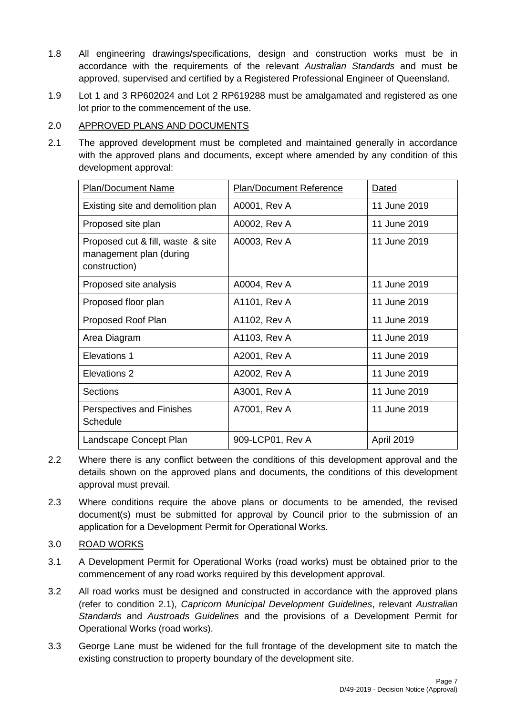- 1.8 All engineering drawings/specifications, design and construction works must be in accordance with the requirements of the relevant *Australian Standards* and must be approved, supervised and certified by a Registered Professional Engineer of Queensland.
- 1.9 Lot 1 and 3 RP602024 and Lot 2 RP619288 must be amalgamated and registered as one lot prior to the commencement of the use.

# 2.0 APPROVED PLANS AND DOCUMENTS

2.1 The approved development must be completed and maintained generally in accordance with the approved plans and documents, except where amended by any condition of this development approval:

| <b>Plan/Document Name</b>                                                     | <b>Plan/Document Reference</b> | Dated        |
|-------------------------------------------------------------------------------|--------------------------------|--------------|
| Existing site and demolition plan                                             | A0001, Rev A                   | 11 June 2019 |
| Proposed site plan                                                            | A0002, Rev A                   | 11 June 2019 |
| Proposed cut & fill, waste & site<br>management plan (during<br>construction) | A0003, Rev A                   | 11 June 2019 |
| Proposed site analysis                                                        | A0004, Rev A                   | 11 June 2019 |
| Proposed floor plan                                                           | A1101, Rev A                   | 11 June 2019 |
| Proposed Roof Plan                                                            | A1102, Rev A                   | 11 June 2019 |
| Area Diagram                                                                  | A1103, Rev A                   | 11 June 2019 |
| Elevations 1                                                                  | A2001, Rev A                   | 11 June 2019 |
| Elevations 2                                                                  | A2002, Rev A                   | 11 June 2019 |
| Sections                                                                      | A3001, Rev A                   | 11 June 2019 |
| Perspectives and Finishes<br><b>Schedule</b>                                  | A7001, Rev A                   | 11 June 2019 |
| Landscape Concept Plan                                                        | 909-LCP01, Rev A               | April 2019   |

- 2.2 Where there is any conflict between the conditions of this development approval and the details shown on the approved plans and documents, the conditions of this development approval must prevail.
- 2.3 Where conditions require the above plans or documents to be amended, the revised document(s) must be submitted for approval by Council prior to the submission of an application for a Development Permit for Operational Works.
- 3.0 ROAD WORKS
- 3.1 A Development Permit for Operational Works (road works) must be obtained prior to the commencement of any road works required by this development approval.
- 3.2 All road works must be designed and constructed in accordance with the approved plans (refer to condition 2.1), *Capricorn Municipal Development Guidelines*, relevant *Australian Standards* and *Austroads Guidelines* and the provisions of a Development Permit for Operational Works (road works).
- 3.3 George Lane must be widened for the full frontage of the development site to match the existing construction to property boundary of the development site.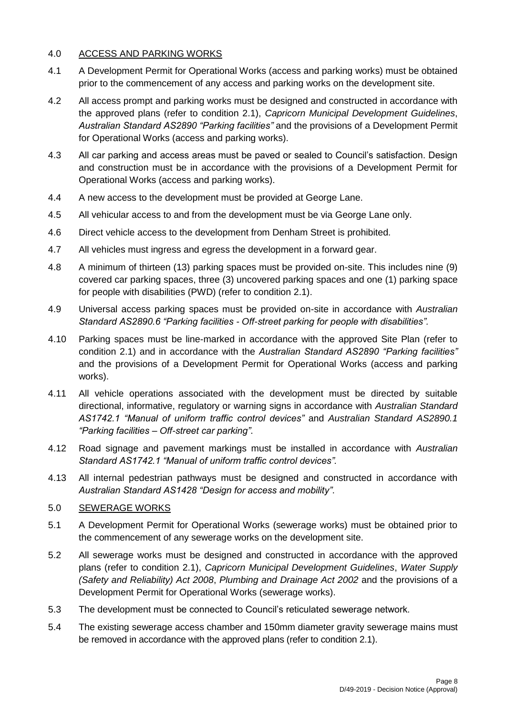# 4.0 ACCESS AND PARKING WORKS

- 4.1 A Development Permit for Operational Works (access and parking works) must be obtained prior to the commencement of any access and parking works on the development site.
- 4.2 All access prompt and parking works must be designed and constructed in accordance with the approved plans (refer to condition 2.1), *Capricorn Municipal Development Guidelines*, *Australian Standard AS2890 "Parking facilities"* and the provisions of a Development Permit for Operational Works (access and parking works).
- 4.3 All car parking and access areas must be paved or sealed to Council's satisfaction. Design and construction must be in accordance with the provisions of a Development Permit for Operational Works (access and parking works).
- 4.4 A new access to the development must be provided at George Lane.
- 4.5 All vehicular access to and from the development must be via George Lane only.
- 4.6 Direct vehicle access to the development from Denham Street is prohibited.
- 4.7 All vehicles must ingress and egress the development in a forward gear.
- 4.8 A minimum of thirteen (13) parking spaces must be provided on-site. This includes nine (9) covered car parking spaces, three (3) uncovered parking spaces and one (1) parking space for people with disabilities (PWD) (refer to condition 2.1).
- 4.9 Universal access parking spaces must be provided on-site in accordance with *Australian Standard AS2890.6 "Parking facilities - Off-street parking for people with disabilities".*
- 4.10 Parking spaces must be line-marked in accordance with the approved Site Plan (refer to condition 2.1) and in accordance with the *Australian Standard AS2890 "Parking facilities"* and the provisions of a Development Permit for Operational Works (access and parking works).
- 4.11 All vehicle operations associated with the development must be directed by suitable directional, informative, regulatory or warning signs in accordance with *Australian Standard AS1742.1 "Manual of uniform traffic control devices"* and *Australian Standard AS2890.1 "Parking facilities – Off-street car parking"*.
- 4.12 Road signage and pavement markings must be installed in accordance with *Australian Standard AS1742.1 "Manual of uniform traffic control devices".*
- 4.13 All internal pedestrian pathways must be designed and constructed in accordance with *Australian Standard AS1428 "Design for access and mobility"*.

# 5.0 SEWERAGE WORKS

- 5.1 A Development Permit for Operational Works (sewerage works) must be obtained prior to the commencement of any sewerage works on the development site.
- 5.2 All sewerage works must be designed and constructed in accordance with the approved plans (refer to condition 2.1), *Capricorn Municipal Development Guidelines*, *Water Supply (Safety and Reliability) Act 2008*, *Plumbing and Drainage Act 2002* and the provisions of a Development Permit for Operational Works (sewerage works).
- 5.3 The development must be connected to Council's reticulated sewerage network*.*
- 5.4 The existing sewerage access chamber and 150mm diameter gravity sewerage mains must be removed in accordance with the approved plans (refer to condition 2.1).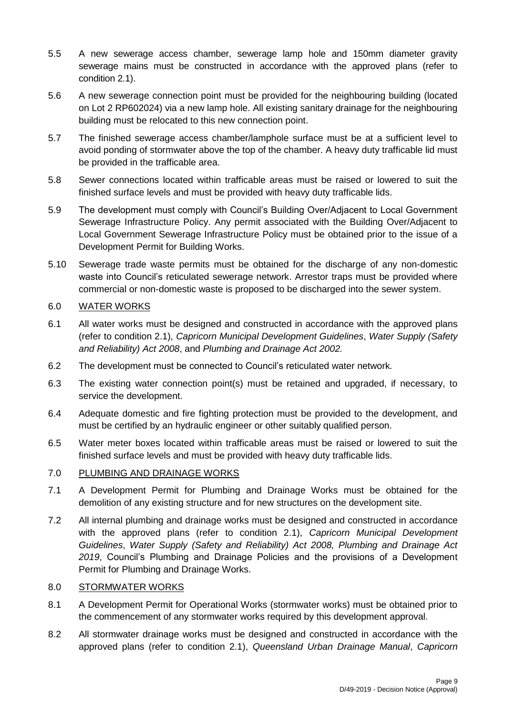- 5.5 A new sewerage access chamber, sewerage lamp hole and 150mm diameter gravity sewerage mains must be constructed in accordance with the approved plans (refer to condition 2.1).
- 5.6 A new sewerage connection point must be provided for the neighbouring building (located on Lot 2 RP602024) via a new lamp hole. All existing sanitary drainage for the neighbouring building must be relocated to this new connection point.
- 5.7 The finished sewerage access chamber/lamphole surface must be at a sufficient level to avoid ponding of stormwater above the top of the chamber. A heavy duty trafficable lid must be provided in the trafficable area.
- 5.8 Sewer connections located within trafficable areas must be raised or lowered to suit the finished surface levels and must be provided with heavy duty trafficable lids.
- 5.9 The development must comply with Council's Building Over/Adjacent to Local Government Sewerage Infrastructure Policy. Any permit associated with the Building Over/Adjacent to Local Government Sewerage Infrastructure Policy must be obtained prior to the issue of a Development Permit for Building Works.
- 5.10 Sewerage trade waste permits must be obtained for the discharge of any non-domestic waste into Council's reticulated sewerage network. Arrestor traps must be provided where commercial or non-domestic waste is proposed to be discharged into the sewer system.

# 6.0 WATER WORKS

- 6.1 All water works must be designed and constructed in accordance with the approved plans (refer to condition 2.1), *Capricorn Municipal Development Guidelines*, *Water Supply (Safety and Reliability) Act 2008*, and *Plumbing and Drainage Act 2002.*
- 6.2 The development must be connected to Council's reticulated water network*.*
- 6.3 The existing water connection point(s) must be retained and upgraded, if necessary, to service the development.
- 6.4 Adequate domestic and fire fighting protection must be provided to the development, and must be certified by an hydraulic engineer or other suitably qualified person.
- 6.5 Water meter boxes located within trafficable areas must be raised or lowered to suit the finished surface levels and must be provided with heavy duty trafficable lids.

# 7.0 PLUMBING AND DRAINAGE WORKS

- 7.1 A Development Permit for Plumbing and Drainage Works must be obtained for the demolition of any existing structure and for new structures on the development site.
- 7.2 All internal plumbing and drainage works must be designed and constructed in accordance with the approved plans (refer to condition 2.1), *Capricorn Municipal Development Guidelines*, *Water Supply (Safety and Reliability) Act 2008, Plumbing and Drainage Act 2019*, Council's Plumbing and Drainage Policies and the provisions of a Development Permit for Plumbing and Drainage Works.

# 8.0 STORMWATER WORKS

- 8.1 A Development Permit for Operational Works (stormwater works) must be obtained prior to the commencement of any stormwater works required by this development approval.
- 8.2 All stormwater drainage works must be designed and constructed in accordance with the approved plans (refer to condition 2.1), *Queensland Urban Drainage Manual*, *Capricorn*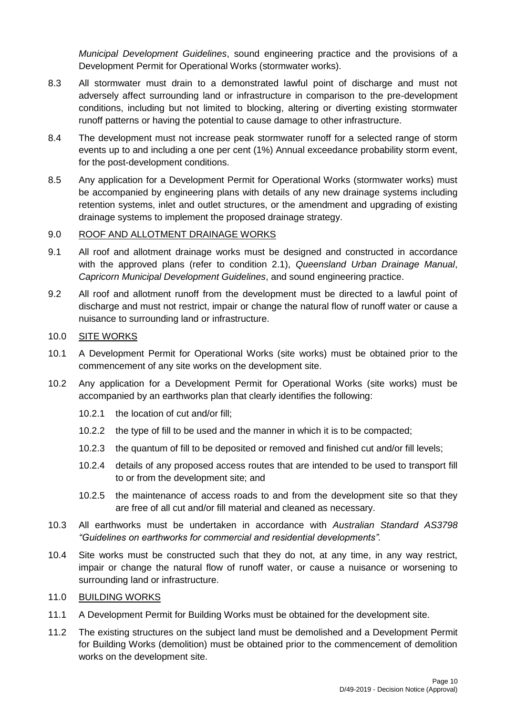*Municipal Development Guidelines*, sound engineering practice and the provisions of a Development Permit for Operational Works (stormwater works).

- 8.3 All stormwater must drain to a demonstrated lawful point of discharge and must not adversely affect surrounding land or infrastructure in comparison to the pre-development conditions, including but not limited to blocking, altering or diverting existing stormwater runoff patterns or having the potential to cause damage to other infrastructure.
- 8.4 The development must not increase peak stormwater runoff for a selected range of storm events up to and including a one per cent (1%) Annual exceedance probability storm event, for the post-development conditions.
- 8.5 Any application for a Development Permit for Operational Works (stormwater works) must be accompanied by engineering plans with details of any new drainage systems including retention systems, inlet and outlet structures, or the amendment and upgrading of existing drainage systems to implement the proposed drainage strategy.

# 9.0 ROOF AND ALLOTMENT DRAINAGE WORKS

- 9.1 All roof and allotment drainage works must be designed and constructed in accordance with the approved plans (refer to condition 2.1), *Queensland Urban Drainage Manual*, *Capricorn Municipal Development Guidelines*, and sound engineering practice.
- 9.2 All roof and allotment runoff from the development must be directed to a lawful point of discharge and must not restrict, impair or change the natural flow of runoff water or cause a nuisance to surrounding land or infrastructure.

# 10.0 SITE WORKS

- 10.1 A Development Permit for Operational Works (site works) must be obtained prior to the commencement of any site works on the development site.
- 10.2 Any application for a Development Permit for Operational Works (site works) must be accompanied by an earthworks plan that clearly identifies the following:
	- 10.2.1 the location of cut and/or fill;
	- 10.2.2 the type of fill to be used and the manner in which it is to be compacted;
	- 10.2.3 the quantum of fill to be deposited or removed and finished cut and/or fill levels;
	- 10.2.4 details of any proposed access routes that are intended to be used to transport fill to or from the development site; and
	- 10.2.5 the maintenance of access roads to and from the development site so that they are free of all cut and/or fill material and cleaned as necessary.
- 10.3 All earthworks must be undertaken in accordance with *Australian Standard AS3798 "Guidelines on earthworks for commercial and residential developments".*
- 10.4 Site works must be constructed such that they do not, at any time, in any way restrict, impair or change the natural flow of runoff water, or cause a nuisance or worsening to surrounding land or infrastructure.
- 11.0 BUILDING WORKS
- 11.1 A Development Permit for Building Works must be obtained for the development site.
- 11.2 The existing structures on the subject land must be demolished and a Development Permit for Building Works (demolition) must be obtained prior to the commencement of demolition works on the development site.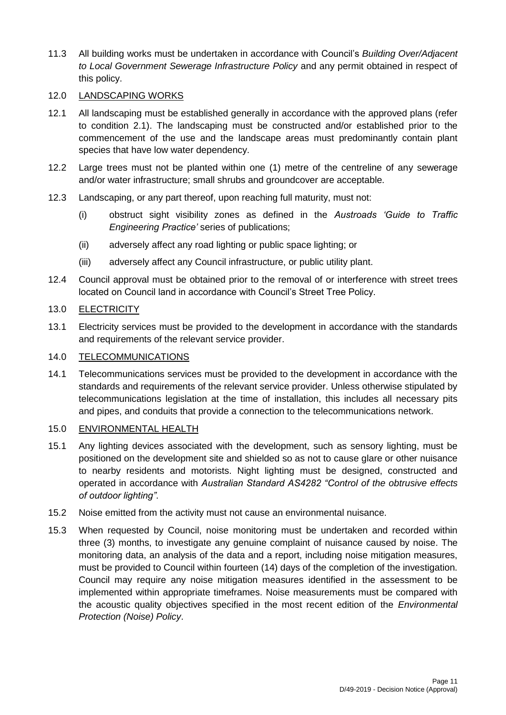11.3 All building works must be undertaken in accordance with Council's *Building Over/Adjacent to Local Government Sewerage Infrastructure Policy* and any permit obtained in respect of this policy.

# 12.0 LANDSCAPING WORKS

- 12.1 All landscaping must be established generally in accordance with the approved plans (refer to condition 2.1). The landscaping must be constructed and/or established prior to the commencement of the use and the landscape areas must predominantly contain plant species that have low water dependency.
- 12.2 Large trees must not be planted within one (1) metre of the centreline of any sewerage and/or water infrastructure; small shrubs and groundcover are acceptable.
- 12.3 Landscaping, or any part thereof, upon reaching full maturity, must not:
	- (i) obstruct sight visibility zones as defined in the *Austroads 'Guide to Traffic Engineering Practice'* series of publications;
	- (ii) adversely affect any road lighting or public space lighting; or
	- (iii) adversely affect any Council infrastructure, or public utility plant.
- 12.4 Council approval must be obtained prior to the removal of or interference with street trees located on Council land in accordance with Council's Street Tree Policy.

# 13.0 ELECTRICITY

13.1 Electricity services must be provided to the development in accordance with the standards and requirements of the relevant service provider.

# 14.0 TELECOMMUNICATIONS

14.1 Telecommunications services must be provided to the development in accordance with the standards and requirements of the relevant service provider. Unless otherwise stipulated by telecommunications legislation at the time of installation, this includes all necessary pits and pipes, and conduits that provide a connection to the telecommunications network.

# 15.0 ENVIRONMENTAL HEALTH

- 15.1 Any lighting devices associated with the development, such as sensory lighting, must be positioned on the development site and shielded so as not to cause glare or other nuisance to nearby residents and motorists. Night lighting must be designed, constructed and operated in accordance with *Australian Standard AS4282 "Control of the obtrusive effects of outdoor lighting"*.
- 15.2 Noise emitted from the activity must not cause an environmental nuisance.
- 15.3 When requested by Council, noise monitoring must be undertaken and recorded within three (3) months, to investigate any genuine complaint of nuisance caused by noise. The monitoring data, an analysis of the data and a report, including noise mitigation measures, must be provided to Council within fourteen (14) days of the completion of the investigation. Council may require any noise mitigation measures identified in the assessment to be implemented within appropriate timeframes. Noise measurements must be compared with the acoustic quality objectives specified in the most recent edition of the *Environmental Protection (Noise) Policy*.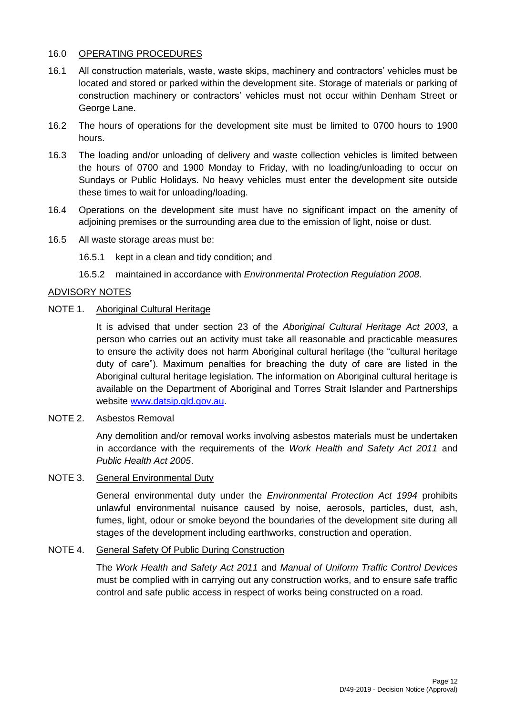# 16.0 OPERATING PROCEDURES

- 16.1 All construction materials, waste, waste skips, machinery and contractors' vehicles must be located and stored or parked within the development site. Storage of materials or parking of construction machinery or contractors' vehicles must not occur within Denham Street or George Lane.
- 16.2 The hours of operations for the development site must be limited to 0700 hours to 1900 hours.
- 16.3 The loading and/or unloading of delivery and waste collection vehicles is limited between the hours of 0700 and 1900 Monday to Friday, with no loading/unloading to occur on Sundays or Public Holidays. No heavy vehicles must enter the development site outside these times to wait for unloading/loading.
- 16.4 Operations on the development site must have no significant impact on the amenity of adjoining premises or the surrounding area due to the emission of light, noise or dust.
- 16.5 All waste storage areas must be:
	- 16.5.1 kept in a clean and tidy condition; and
	- 16.5.2 maintained in accordance with *Environmental Protection Regulation 2008*.

### ADVISORY NOTES

## NOTE 1. Aboriginal Cultural Heritage

It is advised that under section 23 of the *Aboriginal Cultural Heritage Act 2003*, a person who carries out an activity must take all reasonable and practicable measures to ensure the activity does not harm Aboriginal cultural heritage (the "cultural heritage duty of care"). Maximum penalties for breaching the duty of care are listed in the Aboriginal cultural heritage legislation. The information on Aboriginal cultural heritage is available on the Department of Aboriginal and Torres Strait Islander and Partnerships website [www.datsip.qld.gov.au.](http://www.datsip.qld.gov.au/)

# NOTE 2. Asbestos Removal

Any demolition and/or removal works involving asbestos materials must be undertaken in accordance with the requirements of the *Work Health and Safety Act 2011* and *Public Health Act 2005*.

# NOTE 3. General Environmental Duty

General environmental duty under the *Environmental Protection Act 1994* prohibits unlawful environmental nuisance caused by noise, aerosols, particles, dust, ash, fumes, light, odour or smoke beyond the boundaries of the development site during all stages of the development including earthworks, construction and operation.

### NOTE 4. General Safety Of Public During Construction

The *Work Health and Safety Act 2011* and *Manual of Uniform Traffic Control Devices* must be complied with in carrying out any construction works, and to ensure safe traffic control and safe public access in respect of works being constructed on a road.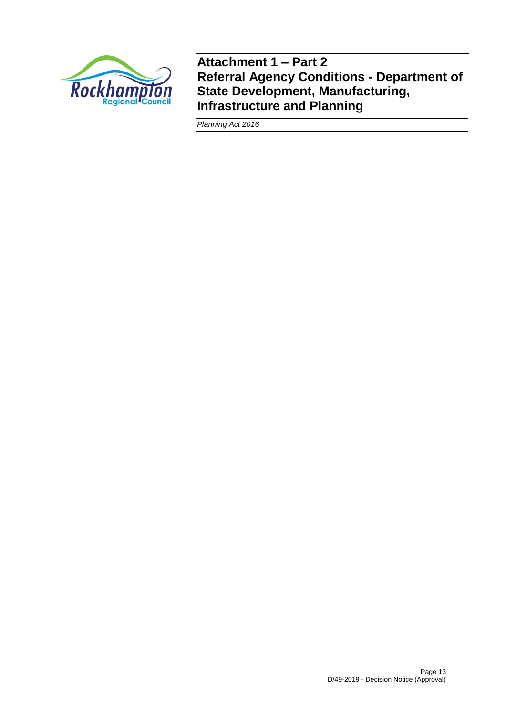

**Attachment 1 – Part 2 Referral Agency Conditions - Department of State Development, Manufacturing, Infrastructure and Planning**

*Planning Act 2016*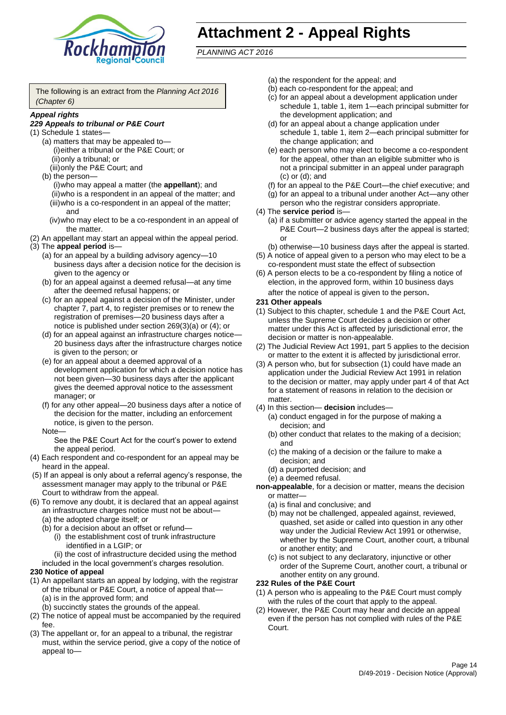

# **Attachment 2 - Appeal Rights**

*PLANNING ACT 2016*

The following is an extract from the *Planning Act 2016 (Chapter 6)*

#### *Appeal rights*

### *229 Appeals to tribunal or P&E Court*

- (1) Schedule 1 states—
	- (a) matters that may be appealed to— (i)either a tribunal or the P&E Court; or (ii)only a tribunal; or
	- (iii)only the P&E Court; and (b) the person—
		- (i)who may appeal a matter (the **appellant**); and (ii)who is a respondent in an appeal of the matter; and (iii)who is a co-respondent in an appeal of the matter; and
		- (iv)who may elect to be a co-respondent in an appeal of the matter.
- (2) An appellant may start an appeal within the appeal period.
- (3) The **appeal period** is—
	- (a) for an appeal by a building advisory agency—10 business days after a decision notice for the decision is given to the agency or
	- (b) for an appeal against a deemed refusal—at any time after the deemed refusal happens; or
	- (c) for an appeal against a decision of the Minister, under chapter 7, part 4, to register premises or to renew the registration of premises—20 business days after a notice is published under section 269(3)(a) or (4); or
	- (d) for an appeal against an infrastructure charges notice— 20 business days after the infrastructure charges notice is given to the person; or
	- (e) for an appeal about a deemed approval of a development application for which a decision notice has not been given—30 business days after the applicant gives the deemed approval notice to the assessment manager; or
	- (f) for any other appeal—20 business days after a notice of the decision for the matter, including an enforcement notice, is given to the person.

#### Note—

See the P&E Court Act for the court's power to extend the appeal period.

- (4) Each respondent and co-respondent for an appeal may be heard in the appeal.
- (5) If an appeal is only about a referral agency's response, the assessment manager may apply to the tribunal or P&E Court to withdraw from the appeal.
- (6) To remove any doubt, it is declared that an appeal against an infrastructure charges notice must not be about—
	- (a) the adopted charge itself; or
	- (b) for a decision about an offset or refund—
		- (i) the establishment cost of trunk infrastructure identified in a LGIP; or
		- (ii) the cost of infrastructure decided using the method
	- included in the local government's charges resolution.
- **230 Notice of appeal**
- (1) An appellant starts an appeal by lodging, with the registrar of the tribunal or P&E Court, a notice of appeal that—
	- (a) is in the approved form; and
	- (b) succinctly states the grounds of the appeal.
- (2) The notice of appeal must be accompanied by the required fee.
- (3) The appellant or, for an appeal to a tribunal, the registrar must, within the service period, give a copy of the notice of appeal to—
- (a) the respondent for the appeal; and
- (b) each co-respondent for the appeal; and
- (c) for an appeal about a development application under schedule 1, table 1, item 1—each principal submitter for the development application; and
- (d) for an appeal about a change application under schedule 1, table 1, item 2—each principal submitter for the change application; and
- (e) each person who may elect to become a co-respondent for the appeal, other than an eligible submitter who is not a principal submitter in an appeal under paragraph (c) or (d); and
- (f) for an appeal to the P&E Court—the chief executive; and
- (g) for an appeal to a tribunal under another Act—any other person who the registrar considers appropriate.
- (4) The **service period** is—
	- (a) if a submitter or advice agency started the appeal in the P&E Court—2 business days after the appeal is started; or
	- (b) otherwise—10 business days after the appeal is started.
- (5) A notice of appeal given to a person who may elect to be a co-respondent must state the effect of subsection
- (6) A person elects to be a co-respondent by filing a notice of election, in the approved form, within 10 business days after the notice of appeal is given to the person*.*
- **231 Other appeals**
- (1) Subject to this chapter, schedule 1 and the P&E Court Act, unless the Supreme Court decides a decision or other matter under this Act is affected by jurisdictional error, the decision or matter is non-appealable.
- (2) The Judicial Review Act 1991, part 5 applies to the decision or matter to the extent it is affected by jurisdictional error.
- (3) A person who, but for subsection (1) could have made an application under the Judicial Review Act 1991 in relation to the decision or matter, may apply under part 4 of that Act for a statement of reasons in relation to the decision or matter.
- (4) In this section— **decision** includes—
	- (a) conduct engaged in for the purpose of making a decision; and
	- (b) other conduct that relates to the making of a decision; and
	- (c) the making of a decision or the failure to make a decision; and
	- (d) a purported decision; and
	- (e) a deemed refusal.

**non-appealable**, for a decision or matter, means the decision or matter—

- (a) is final and conclusive; and
- (b) may not be challenged, appealed against, reviewed, quashed, set aside or called into question in any other way under the Judicial Review Act 1991 or otherwise, whether by the Supreme Court, another court, a tribunal or another entity; and
- (c) is not subject to any declaratory, injunctive or other order of the Supreme Court, another court, a tribunal or another entity on any ground.

### **232 Rules of the P&E Court**

- (1) A person who is appealing to the P&E Court must comply with the rules of the court that apply to the appeal.
- (2) However, the P&E Court may hear and decide an appeal even if the person has not complied with rules of the P&E Court.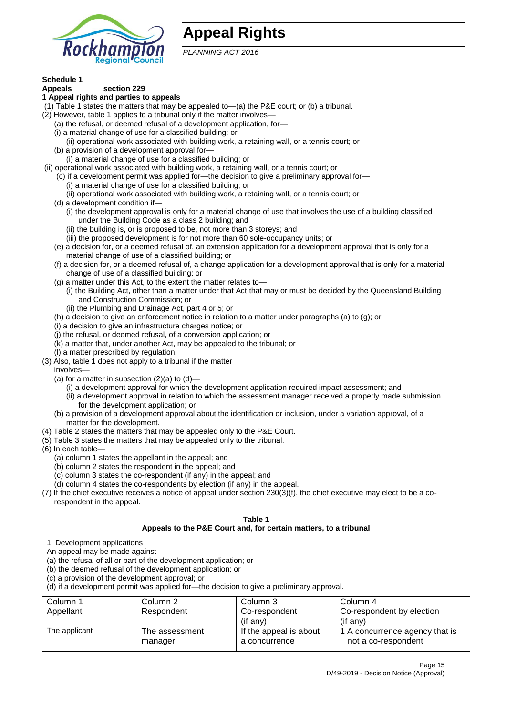

# **Appeal Rights**

*PLANNING ACT 2016*

# **Schedule 1**

#### **Appeals section 229 1 Appeal rights and parties to appeals**

- (1) Table 1 states the matters that may be appealed to—(a) the P&E court; or (b) a tribunal.
- (2) However, table 1 applies to a tribunal only if the matter involves—
	- (a) the refusal, or deemed refusal of a development application, for—
	- (i) a material change of use for a classified building; or
	- (ii) operational work associated with building work, a retaining wall, or a tennis court; or
	- (b) a provision of a development approval for—
	- (i) a material change of use for a classified building; or
- (ii) operational work associated with building work, a retaining wall, or a tennis court; or
	- (c) if a development permit was applied for—the decision to give a preliminary approval for— (i) a material change of use for a classified building; or
	- (ii) operational work associated with building work, a retaining wall, or a tennis court; or
	- (d) a development condition if—
		- (i) the development approval is only for a material change of use that involves the use of a building classified under the Building Code as a class 2 building; and
		- (ii) the building is, or is proposed to be, not more than 3 storeys; and
		- (iii) the proposed development is for not more than 60 sole-occupancy units; or
	- (e) a decision for, or a deemed refusal of, an extension application for a development approval that is only for a material change of use of a classified building; or
	- (f) a decision for, or a deemed refusal of, a change application for a development approval that is only for a material change of use of a classified building; or
	- (g) a matter under this Act, to the extent the matter relates to—
		- (i) the Building Act, other than a matter under that Act that may or must be decided by the Queensland Building and Construction Commission; or
		- (ii) the Plumbing and Drainage Act, part 4 or 5; or
	- (h) a decision to give an enforcement notice in relation to a matter under paragraphs (a) to (g); or
	- (i) a decision to give an infrastructure charges notice; or
	- (j) the refusal, or deemed refusal, of a conversion application; or
	- (k) a matter that, under another Act, may be appealed to the tribunal; or
	- (l) a matter prescribed by regulation.
- (3) Also, table 1 does not apply to a tribunal if the matter

involves—

- (a) for a matter in subsection  $(2)(a)$  to  $(d)$ 
	- (i) a development approval for which the development application required impact assessment; and
	- (ii) a development approval in relation to which the assessment manager received a properly made submission for the development application; or
- (b) a provision of a development approval about the identification or inclusion, under a variation approval, of a matter for the development.
- (4) Table 2 states the matters that may be appealed only to the P&E Court.
- (5) Table 3 states the matters that may be appealed only to the tribunal.
- (6) In each table—
	- (a) column 1 states the appellant in the appeal; and
	- (b) column 2 states the respondent in the appeal; and
	- (c) column 3 states the co-respondent (if any) in the appeal; and
	- (d) column 4 states the co-respondents by election (if any) in the appeal.
- (7) If the chief executive receives a notice of appeal under section 230(3)(f), the chief executive may elect to be a corespondent in the appeal.

| Table 1<br>Appeals to the P&E Court and, for certain matters, to a tribunal                                                                                                                                                                                                                                                                    |                           |                                         |                                                       |
|------------------------------------------------------------------------------------------------------------------------------------------------------------------------------------------------------------------------------------------------------------------------------------------------------------------------------------------------|---------------------------|-----------------------------------------|-------------------------------------------------------|
| 1. Development applications<br>An appeal may be made against-<br>(a) the refusal of all or part of the development application; or<br>(b) the deemed refusal of the development application; or<br>(c) a provision of the development approval; or<br>(d) if a development permit was applied for-the decision to give a preliminary approval. |                           |                                         |                                                       |
| Column 1                                                                                                                                                                                                                                                                                                                                       | Column 2                  | Column 3                                | Column 4                                              |
| Appellant                                                                                                                                                                                                                                                                                                                                      | Respondent                | Co-respondent                           | Co-respondent by election                             |
|                                                                                                                                                                                                                                                                                                                                                |                           | (if any)                                | $($ if any $)$                                        |
| The applicant                                                                                                                                                                                                                                                                                                                                  | The assessment<br>manager | If the appeal is about<br>a concurrence | 1 A concurrence agency that is<br>not a co-respondent |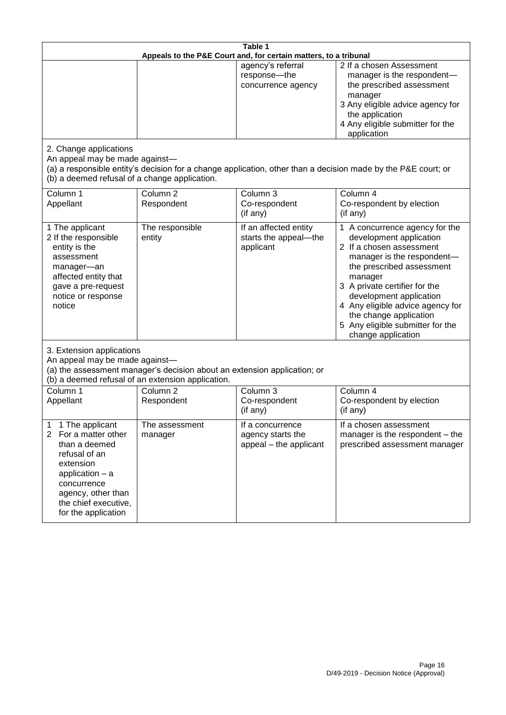| Table 1<br>Appeals to the P&E Court and, for certain matters, to a tribunal                                                                                                                                        |                                   |                                                                 |                                                                                                                                                                                                                                                                                                                                                 |
|--------------------------------------------------------------------------------------------------------------------------------------------------------------------------------------------------------------------|-----------------------------------|-----------------------------------------------------------------|-------------------------------------------------------------------------------------------------------------------------------------------------------------------------------------------------------------------------------------------------------------------------------------------------------------------------------------------------|
|                                                                                                                                                                                                                    |                                   | agency's referral<br>response-the<br>concurrence agency         | 2 If a chosen Assessment<br>manager is the respondent-<br>the prescribed assessment<br>manager<br>3 Any eligible advice agency for<br>the application<br>4 Any eligible submitter for the<br>application                                                                                                                                        |
| 2. Change applications<br>An appeal may be made against-<br>(b) a deemed refusal of a change application.                                                                                                          |                                   |                                                                 | (a) a responsible entity's decision for a change application, other than a decision made by the P&E court; or                                                                                                                                                                                                                                   |
| Column 1<br>Appellant                                                                                                                                                                                              | Column <sub>2</sub><br>Respondent | Column 3<br>Co-respondent<br>(if any)                           | Column 4<br>Co-respondent by election<br>(if any)                                                                                                                                                                                                                                                                                               |
| 1 The applicant<br>2 If the responsible<br>entity is the<br>assessment<br>manager-an<br>affected entity that<br>gave a pre-request<br>notice or response<br>notice                                                 | The responsible<br>entity         | If an affected entity<br>starts the appeal-the<br>applicant     | 1 A concurrence agency for the<br>development application<br>2 If a chosen assessment<br>manager is the respondent-<br>the prescribed assessment<br>manager<br>3 A private certifier for the<br>development application<br>4 Any eligible advice agency for<br>the change application<br>5 Any eligible submitter for the<br>change application |
| 3. Extension applications<br>An appeal may be made against-<br>(a) the assessment manager's decision about an extension application; or<br>(b) a deemed refusal of an extension application.                       |                                   |                                                                 |                                                                                                                                                                                                                                                                                                                                                 |
| Column 1<br>Appellant                                                                                                                                                                                              | Column <sub>2</sub><br>Respondent | Column 3<br>Co-respondent<br>(if any)                           | Column 4<br>Co-respondent by election<br>(if any)                                                                                                                                                                                                                                                                                               |
| 1 The applicant<br>1<br>For a matter other<br>$\overline{2}$<br>than a deemed<br>refusal of an<br>extension<br>application - a<br>concurrence<br>agency, other than<br>the chief executive,<br>for the application | The assessment<br>manager         | If a concurrence<br>agency starts the<br>appeal - the applicant | If a chosen assessment<br>manager is the respondent - the<br>prescribed assessment manager                                                                                                                                                                                                                                                      |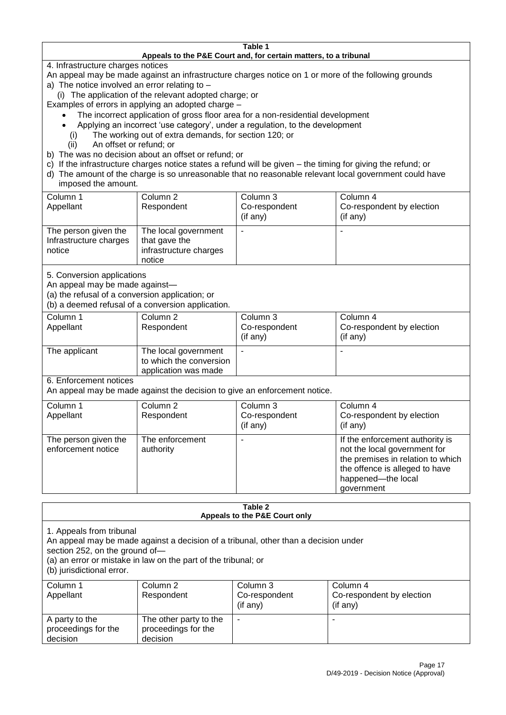#### **Table 1 Appeals to the P&E Court and, for certain matters, to a tribunal**

4. Infrastructure charges notices

- An appeal may be made against an infrastructure charges notice on 1 or more of the following grounds
- a) The notice involved an error relating to
	- (i) The application of the relevant adopted charge; or
- Examples of errors in applying an adopted charge
	- The incorrect application of gross floor area for a non-residential development
	- Applying an incorrect 'use category', under a regulation, to the development
	- (i) The working out of extra demands, for section 120; or
	- (ii) An offset or refund; or
- b) The was no decision about an offset or refund; or
- c) If the infrastructure charges notice states a refund will be given the timing for giving the refund; or
- d) The amount of the charge is so unreasonable that no reasonable relevant local government could have
- imposed the amount.

| Column 1<br>Appellant                                    | Column 2<br>Respondent                                                    | Column 3<br>Co-respondent<br>$($ if any $)$ | Column 4<br>Co-respondent by election<br>(if any) |
|----------------------------------------------------------|---------------------------------------------------------------------------|---------------------------------------------|---------------------------------------------------|
| The person given the<br>Infrastructure charges<br>notice | The local government<br>that gave the<br>infrastructure charges<br>notice | -                                           |                                                   |

5. Conversion applications

An appeal may be made against—

(a) the refusal of a conversion application; or

(b) a deemed refusal of a conversion application.

| Column 1<br>Appellant | Column 2<br>Respondent                                                  | Column 3<br>Co-respondent<br>$($ if any $)$ | Column 4<br>Co-respondent by election<br>$($ if any $)$ |
|-----------------------|-------------------------------------------------------------------------|---------------------------------------------|---------------------------------------------------------|
| The applicant         | The local government<br>to which the conversion<br>application was made |                                             |                                                         |

6. Enforcement notices

An appeal may be made against the decision to give an enforcement notice.

| Column 1<br>Appellant                      | Column 2<br>Respondent       | Column 3<br>Co-respondent<br>(if any) | Column 4<br>Co-respondent by election<br>(if any)                                                                                                                          |
|--------------------------------------------|------------------------------|---------------------------------------|----------------------------------------------------------------------------------------------------------------------------------------------------------------------------|
| The person given the<br>enforcement notice | The enforcement<br>authority |                                       | If the enforcement authority is<br>not the local government for<br>the premises in relation to which<br>the offence is alleged to have<br>happened-the local<br>government |

#### **Table 2 Appeals to the P&E Court only**

1. Appeals from tribunal

An appeal may be made against a decision of a tribunal, other than a decision under

section 252, on the ground of—

(a) an error or mistake in law on the part of the tribunal; or

(b) jurisdictional error.

| Column 1<br>Appellant                             | Column 2<br>Respondent                                    | Column 3<br>Co-respondent<br>$($ if any $)$ | Column 4<br>Co-respondent by election<br>(if any) |
|---------------------------------------------------|-----------------------------------------------------------|---------------------------------------------|---------------------------------------------------|
| A party to the<br>proceedings for the<br>decision | The other party to the<br>proceedings for the<br>decision | ۰                                           |                                                   |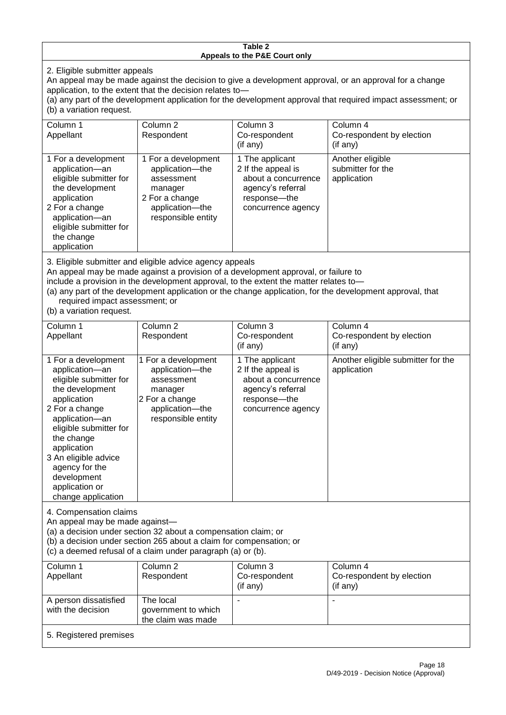#### **Table 2 Appeals to the P&E Court only**

2. Eligible submitter appeals

An appeal may be made against the decision to give a development approval, or an approval for a change application, to the extent that the decision relates to—

(a) any part of the development application for the development approval that required impact assessment; or (b) a variation request.

| Column 1                                                                                                                                                                                     | Column 2                                                                                                                   | Column 3                                                                                                                  | Column 4                                             |  |  |
|----------------------------------------------------------------------------------------------------------------------------------------------------------------------------------------------|----------------------------------------------------------------------------------------------------------------------------|---------------------------------------------------------------------------------------------------------------------------|------------------------------------------------------|--|--|
| Appellant                                                                                                                                                                                    | Respondent                                                                                                                 | Co-respondent                                                                                                             | Co-respondent by election                            |  |  |
|                                                                                                                                                                                              |                                                                                                                            | (i f an y)                                                                                                                | $($ if any $)$                                       |  |  |
| 1 For a development<br>application-an<br>eligible submitter for<br>the development<br>application<br>2 For a change<br>application-an<br>eligible submitter for<br>the change<br>application | 1 For a development<br>application-the<br>assessment<br>manager<br>2 For a change<br>application-the<br>responsible entity | 1 The applicant<br>2 If the appeal is<br>about a concurrence<br>agency's referral<br>response---the<br>concurrence agency | Another eligible<br>submitter for the<br>application |  |  |
|                                                                                                                                                                                              | 2. Eligible cubmitter and eligible advice agency appeals                                                                   |                                                                                                                           |                                                      |  |  |

3. Eligible submitter and eligible advice agency appeals

An appeal may be made against a provision of a development approval, or failure to

include a provision in the development approval, to the extent the matter relates to—

the claim was made

(a) any part of the development application or the change application, for the development approval, that required impact assessment; or

(b) a variation request.

5. Registered premises

| Column 1<br>Appellant                                                                                                                                                                                                                                                                         | Column <sub>2</sub><br>Respondent                                                                                          | Column 3<br>Co-respondent<br>$(i f \text{ any})$                                                                        | Column 4<br>Co-respondent by election<br>(if any) |
|-----------------------------------------------------------------------------------------------------------------------------------------------------------------------------------------------------------------------------------------------------------------------------------------------|----------------------------------------------------------------------------------------------------------------------------|-------------------------------------------------------------------------------------------------------------------------|---------------------------------------------------|
| 1 For a development<br>application-an<br>eligible submitter for<br>the development<br>application<br>2 For a change<br>application-an<br>eligible submitter for<br>the change<br>application<br>3 An eligible advice<br>agency for the<br>development<br>application or<br>change application | 1 For a development<br>application-the<br>assessment<br>manager<br>2 For a change<br>application-the<br>responsible entity | 1 The applicant<br>2 If the appeal is<br>about a concurrence<br>agency's referral<br>response-the<br>concurrence agency | Another eligible submitter for the<br>application |
| 4. Compensation claims<br>An appeal may be made against-<br>(a) a decision under section 32 about a compensation claim; or<br>(b) a decision under section 265 about a claim for compensation; or<br>(c) a deemed refusal of a claim under paragraph (a) or (b).                              |                                                                                                                            |                                                                                                                         |                                                   |
| Column 1<br>Appellant                                                                                                                                                                                                                                                                         | Column <sub>2</sub><br>Respondent                                                                                          | Column 3<br>Co-respondent<br>(if any)                                                                                   | Column 4<br>Co-respondent by election<br>(if any) |
| A person dissatisfied<br>with the decision                                                                                                                                                                                                                                                    | The local<br>government to which                                                                                           |                                                                                                                         |                                                   |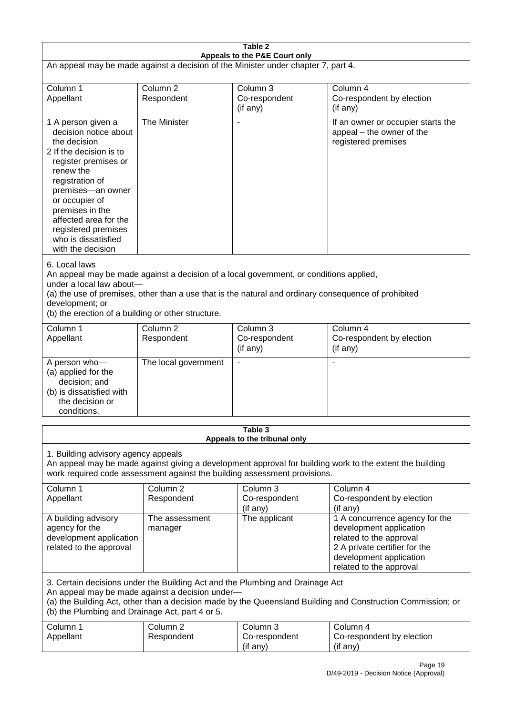| Table 2<br>Appeals to the P&E Court only                                                                                                                                                                                                                                                                             |                                                                                                                                                                                                                                                              |                                                  |                                                                                                                                                                             |  |
|----------------------------------------------------------------------------------------------------------------------------------------------------------------------------------------------------------------------------------------------------------------------------------------------------------------------|--------------------------------------------------------------------------------------------------------------------------------------------------------------------------------------------------------------------------------------------------------------|--------------------------------------------------|-----------------------------------------------------------------------------------------------------------------------------------------------------------------------------|--|
| An appeal may be made against a decision of the Minister under chapter 7, part 4.                                                                                                                                                                                                                                    |                                                                                                                                                                                                                                                              |                                                  |                                                                                                                                                                             |  |
| Column 1<br>Appellant                                                                                                                                                                                                                                                                                                | Column <sub>2</sub><br>Respondent                                                                                                                                                                                                                            | Column 3<br>Co-respondent<br>(if any)            | Column 4<br>Co-respondent by election<br>(if any)                                                                                                                           |  |
| 1 A person given a<br>decision notice about<br>the decision<br>2 If the decision is to<br>register premises or<br>renew the<br>registration of<br>premises-an owner<br>or occupier of<br>premises in the<br>affected area for the<br>registered premises<br>who is dissatisfied<br>with the decision                 | The Minister                                                                                                                                                                                                                                                 |                                                  | If an owner or occupier starts the<br>appeal - the owner of the<br>registered premises                                                                                      |  |
| 6. Local laws<br>An appeal may be made against a decision of a local government, or conditions applied,<br>under a local law about-<br>(a) the use of premises, other than a use that is the natural and ordinary consequence of prohibited<br>development; or<br>(b) the erection of a building or other structure. |                                                                                                                                                                                                                                                              |                                                  |                                                                                                                                                                             |  |
| Column 1<br>Appellant                                                                                                                                                                                                                                                                                                | Column <sub>2</sub><br>Respondent                                                                                                                                                                                                                            | Column <sub>3</sub><br>Co-respondent<br>(if any) | Column 4<br>Co-respondent by election<br>(if any)                                                                                                                           |  |
| A person who-<br>(a) applied for the<br>decision; and<br>(b) is dissatisfied with<br>the decision or<br>conditions.                                                                                                                                                                                                  | The local government                                                                                                                                                                                                                                         | $\blacksquare$                                   |                                                                                                                                                                             |  |
|                                                                                                                                                                                                                                                                                                                      |                                                                                                                                                                                                                                                              | Table 3                                          |                                                                                                                                                                             |  |
|                                                                                                                                                                                                                                                                                                                      | Appeals to the tribunal only<br>1. Building advisory agency appeals<br>An appeal may be made against giving a development approval for building work to the extent the building<br>work required code assessment against the building assessment provisions. |                                                  |                                                                                                                                                                             |  |
| Column 1<br>Appellant                                                                                                                                                                                                                                                                                                | Column 2<br>Respondent                                                                                                                                                                                                                                       | Column 3<br>Co-respondent<br>(if any)            | Column 4<br>Co-respondent by election<br>(if any)                                                                                                                           |  |
| A building advisory<br>agency for the<br>development application<br>related to the approval                                                                                                                                                                                                                          | The assessment<br>manager                                                                                                                                                                                                                                    | The applicant                                    | 1 A concurrence agency for the<br>development application<br>related to the approval<br>2 A private certifier for the<br>development application<br>related to the approval |  |
| 3. Certain decisions under the Building Act and the Plumbing and Drainage Act<br>An appeal may be made against a decision under-<br>(a) the Building Act, other than a decision made by the Queensland Building and Construction Commission; or<br>(b) the Plumbing and Drainage Act, part 4 or 5.                   |                                                                                                                                                                                                                                                              |                                                  |                                                                                                                                                                             |  |
| Column 1<br>Appellant                                                                                                                                                                                                                                                                                                | Column <sub>2</sub><br>Respondent                                                                                                                                                                                                                            | Column 3<br>Co-respondent<br>(if any)            | Column 4<br>Co-respondent by election<br>(if any)                                                                                                                           |  |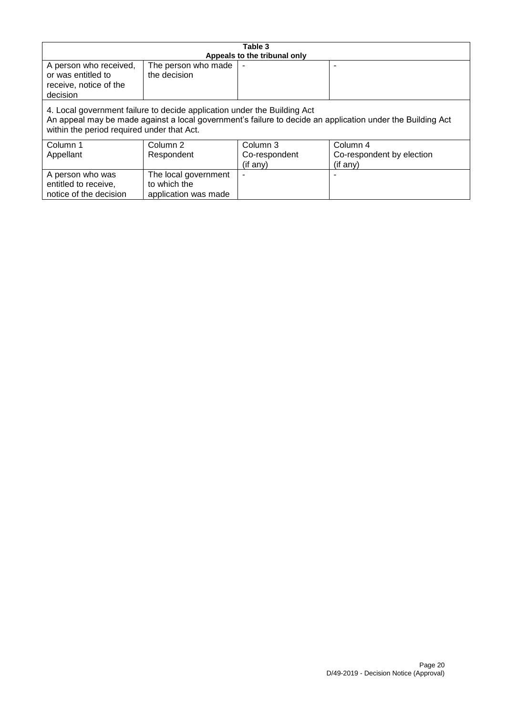| Table 3                                                                                                                                                                                                                              |                                      |               |                           |  |
|--------------------------------------------------------------------------------------------------------------------------------------------------------------------------------------------------------------------------------------|--------------------------------------|---------------|---------------------------|--|
|                                                                                                                                                                                                                                      | Appeals to the tribunal only         |               |                           |  |
| A person who received,<br>or was entitled to<br>receive, notice of the<br>decision                                                                                                                                                   | The person who made<br>the decision  |               |                           |  |
| 4. Local government failure to decide application under the Building Act<br>An appeal may be made against a local government's failure to decide an application under the Building Act<br>within the period required under that Act. |                                      |               |                           |  |
| Column 1                                                                                                                                                                                                                             | Column 2                             | Column 3      | Column 4                  |  |
| Appellant                                                                                                                                                                                                                            | Respondent                           | Co-respondent | Co-respondent by election |  |
|                                                                                                                                                                                                                                      |                                      | (if any)      | (if any)                  |  |
| A person who was<br>entitled to receive,                                                                                                                                                                                             | The local government<br>to which the |               |                           |  |
| notice of the decision                                                                                                                                                                                                               | application was made                 |               |                           |  |